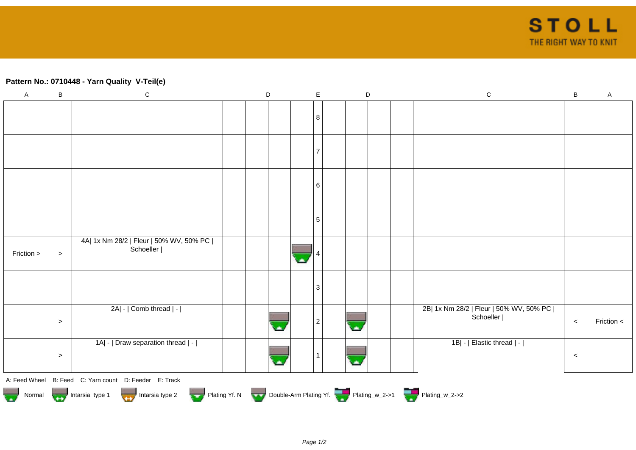## **Pattern No.: 0710448 - Yarn Quality V-Teil(e)**

| $\mathsf A$ | B                                                                                            | ${\bf C}$                                              |  | $\mathsf D$ |  |   | $\mathsf E$<br>$\mathsf D$ |  |  |  |  | ${\bf C}$                                              | $\sf{B}$ | $\mathsf{A}$ |
|-------------|----------------------------------------------------------------------------------------------|--------------------------------------------------------|--|-------------|--|---|----------------------------|--|--|--|--|--------------------------------------------------------|----------|--------------|
|             |                                                                                              |                                                        |  |             |  |   | 8                          |  |  |  |  |                                                        |          |              |
|             |                                                                                              |                                                        |  |             |  |   |                            |  |  |  |  |                                                        |          |              |
|             |                                                                                              |                                                        |  |             |  |   | 7                          |  |  |  |  |                                                        |          |              |
|             |                                                                                              |                                                        |  |             |  |   |                            |  |  |  |  |                                                        |          |              |
|             |                                                                                              |                                                        |  |             |  |   |                            |  |  |  |  |                                                        |          |              |
|             |                                                                                              |                                                        |  |             |  |   | 6                          |  |  |  |  |                                                        |          |              |
|             |                                                                                              |                                                        |  |             |  |   |                            |  |  |  |  |                                                        |          |              |
|             |                                                                                              |                                                        |  |             |  |   | $\sqrt{5}$                 |  |  |  |  |                                                        |          |              |
| Friction >  | $\, >$                                                                                       | 4A  1x Nm 28/2   Fleur   50% WV, 50% PC  <br>Schoeller |  |             |  | × |                            |  |  |  |  |                                                        |          |              |
|             |                                                                                              |                                                        |  |             |  |   | 3                          |  |  |  |  |                                                        |          |              |
|             |                                                                                              |                                                        |  |             |  |   |                            |  |  |  |  |                                                        |          |              |
|             | $\,>$                                                                                        | 2A  -   Comb thread   -                                |  |             |  |   | $\overline{c}$             |  |  |  |  | 2B  1x Nm 28/2   Fleur   50% WV, 50% PC  <br>Schoeller | $\,<$    | Friction <   |
|             |                                                                                              | 1A  -   Draw separation thread   -                     |  |             |  |   |                            |  |  |  |  | 1B  -   Elastic thread   -                             |          |              |
|             | $\,>$                                                                                        |                                                        |  |             |  |   |                            |  |  |  |  |                                                        | $\,<$    |              |
|             |                                                                                              | A: Feed Wheel B: Feed C: Yarn count D: Feeder E: Track |  |             |  |   |                            |  |  |  |  |                                                        |          |              |
|             | Normal Intarsia type 1 Intarsia type 2 Plating Yf. N Double-Arm Plating Yf. 2 Plating w_2->1 |                                                        |  |             |  |   |                            |  |  |  |  |                                                        |          |              |